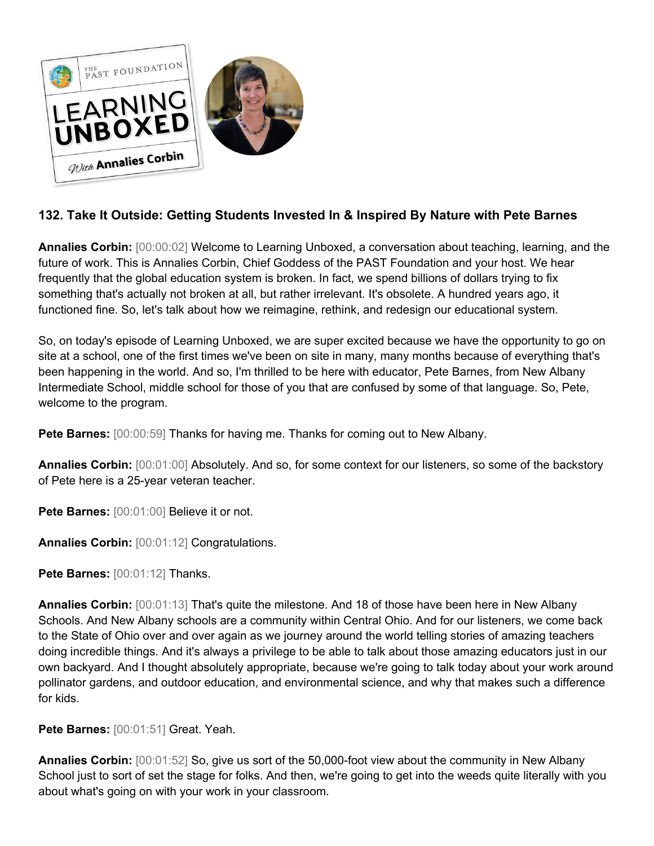

## **132. Take It Outside: Getting Students Invested In & Inspired By Nature with Pete Barnes**

**Annalies Corbin:** [00:00:02] Welcome to Learning Unboxed, a conversation about teaching, learning, and the future of work. This is Annalies Corbin, Chief Goddess of the PAST Foundation and your host. We hear frequently that the global education system is broken. In fact, we spend billions of dollars trying to fix something that's actually not broken at all, but rather irrelevant. It's obsolete. A hundred years ago, it functioned fine. So, let's talk about how we reimagine, rethink, and redesign our educational system.

So, on today's episode of Learning Unboxed, we are super excited because we have the opportunity to go on site at a school, one of the first times we've been on site in many, many months because of everything that's been happening in the world. And so, I'm thrilled to be here with educator, Pete Barnes, from New Albany Intermediate School, middle school for those of you that are confused by some of that language. So, Pete, welcome to the program.

**Pete Barnes:** [00:00:59] Thanks for having me. Thanks for coming out to New Albany.

**Annalies Corbin:** [00:01:00] Absolutely. And so, for some context for our listeners, so some of the backstory of Pete here is a 25-year veteran teacher.

Pete Barnes: [00:01:00] Believe it or not.

**Annalies Corbin:** [00:01:12] Congratulations.

**Pete Barnes:** [00:01:12] Thanks.

**Annalies Corbin:** [00:01:13] That's quite the milestone. And 18 of those have been here in New Albany Schools. And New Albany schools are a community within Central Ohio. And for our listeners, we come back to the State of Ohio over and over again as we journey around the world telling stories of amazing teachers doing incredible things. And it's always a privilege to be able to talk about those amazing educators just in our own backyard. And I thought absolutely appropriate, because we're going to talk today about your work around pollinator gardens, and outdoor education, and environmental science, and why that makes such a difference for kids.

**Pete Barnes:** [00:01:51] Great. Yeah.

**Annalies Corbin:** [00:01:52] So, give us sort of the 50,000-foot view about the community in New Albany School just to sort of set the stage for folks. And then, we're going to get into the weeds quite literally with you about what's going on with your work in your classroom.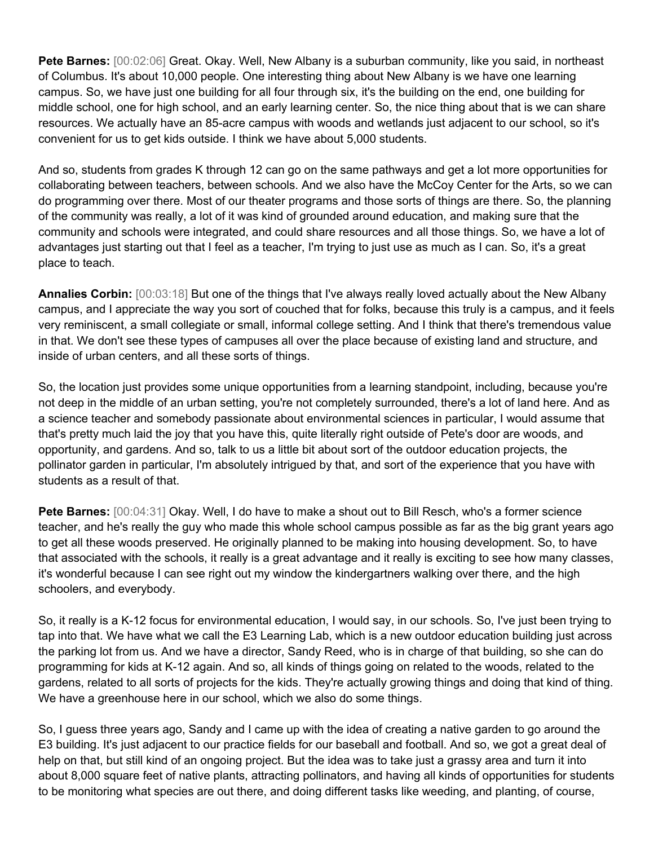**Pete Barnes:** [00:02:06] Great. Okay. Well, New Albany is a suburban community, like you said, in northeast of Columbus. It's about 10,000 people. One interesting thing about New Albany is we have one learning campus. So, we have just one building for all four through six, it's the building on the end, one building for middle school, one for high school, and an early learning center. So, the nice thing about that is we can share resources. We actually have an 85-acre campus with woods and wetlands just adjacent to our school, so it's convenient for us to get kids outside. I think we have about 5,000 students.

And so, students from grades K through 12 can go on the same pathways and get a lot more opportunities for collaborating between teachers, between schools. And we also have the McCoy Center for the Arts, so we can do programming over there. Most of our theater programs and those sorts of things are there. So, the planning of the community was really, a lot of it was kind of grounded around education, and making sure that the community and schools were integrated, and could share resources and all those things. So, we have a lot of advantages just starting out that I feel as a teacher, I'm trying to just use as much as I can. So, it's a great place to teach.

**Annalies Corbin:** [00:03:18] But one of the things that I've always really loved actually about the New Albany campus, and I appreciate the way you sort of couched that for folks, because this truly is a campus, and it feels very reminiscent, a small collegiate or small, informal college setting. And I think that there's tremendous value in that. We don't see these types of campuses all over the place because of existing land and structure, and inside of urban centers, and all these sorts of things.

So, the location just provides some unique opportunities from a learning standpoint, including, because you're not deep in the middle of an urban setting, you're not completely surrounded, there's a lot of land here. And as a science teacher and somebody passionate about environmental sciences in particular, I would assume that that's pretty much laid the joy that you have this, quite literally right outside of Pete's door are woods, and opportunity, and gardens. And so, talk to us a little bit about sort of the outdoor education projects, the pollinator garden in particular, I'm absolutely intrigued by that, and sort of the experience that you have with students as a result of that.

**Pete Barnes:** [00:04:31] Okay. Well, I do have to make a shout out to Bill Resch, who's a former science teacher, and he's really the guy who made this whole school campus possible as far as the big grant years ago to get all these woods preserved. He originally planned to be making into housing development. So, to have that associated with the schools, it really is a great advantage and it really is exciting to see how many classes, it's wonderful because I can see right out my window the kindergartners walking over there, and the high schoolers, and everybody.

So, it really is a K-12 focus for environmental education, I would say, in our schools. So, I've just been trying to tap into that. We have what we call the E3 Learning Lab, which is a new outdoor education building just across the parking lot from us. And we have a director, Sandy Reed, who is in charge of that building, so she can do programming for kids at K-12 again. And so, all kinds of things going on related to the woods, related to the gardens, related to all sorts of projects for the kids. They're actually growing things and doing that kind of thing. We have a greenhouse here in our school, which we also do some things.

So, I guess three years ago, Sandy and I came up with the idea of creating a native garden to go around the E3 building. It's just adjacent to our practice fields for our baseball and football. And so, we got a great deal of help on that, but still kind of an ongoing project. But the idea was to take just a grassy area and turn it into about 8,000 square feet of native plants, attracting pollinators, and having all kinds of opportunities for students to be monitoring what species are out there, and doing different tasks like weeding, and planting, of course,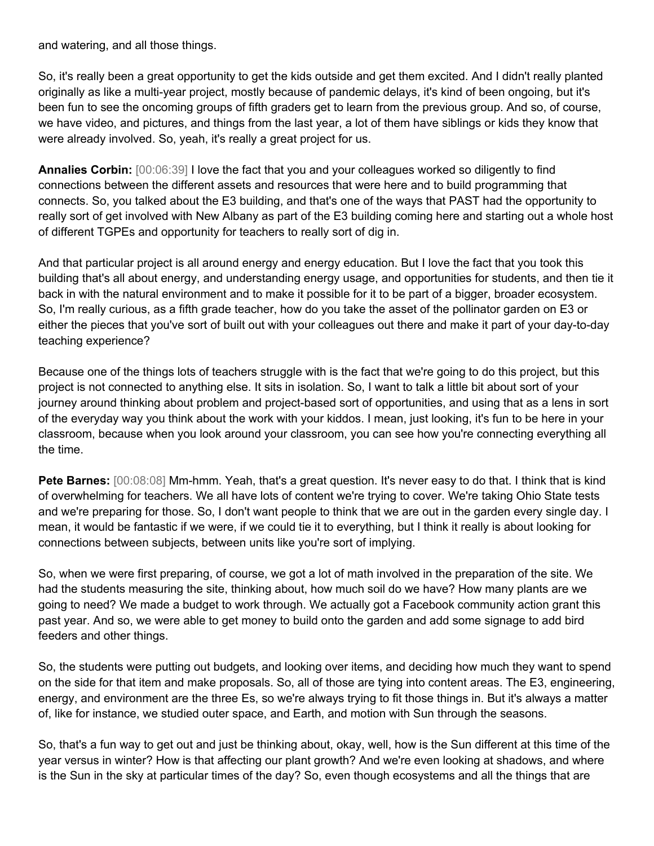and watering, and all those things.

So, it's really been a great opportunity to get the kids outside and get them excited. And I didn't really planted originally as like a multi-year project, mostly because of pandemic delays, it's kind of been ongoing, but it's been fun to see the oncoming groups of fifth graders get to learn from the previous group. And so, of course, we have video, and pictures, and things from the last year, a lot of them have siblings or kids they know that were already involved. So, yeah, it's really a great project for us.

**Annalies Corbin:** [00:06:39] I love the fact that you and your colleagues worked so diligently to find connections between the different assets and resources that were here and to build programming that connects. So, you talked about the E3 building, and that's one of the ways that PAST had the opportunity to really sort of get involved with New Albany as part of the E3 building coming here and starting out a whole host of different TGPEs and opportunity for teachers to really sort of dig in.

And that particular project is all around energy and energy education. But I love the fact that you took this building that's all about energy, and understanding energy usage, and opportunities for students, and then tie it back in with the natural environment and to make it possible for it to be part of a bigger, broader ecosystem. So, I'm really curious, as a fifth grade teacher, how do you take the asset of the pollinator garden on E3 or either the pieces that you've sort of built out with your colleagues out there and make it part of your day-to-day teaching experience?

Because one of the things lots of teachers struggle with is the fact that we're going to do this project, but this project is not connected to anything else. It sits in isolation. So, I want to talk a little bit about sort of your journey around thinking about problem and project-based sort of opportunities, and using that as a lens in sort of the everyday way you think about the work with your kiddos. I mean, just looking, it's fun to be here in your classroom, because when you look around your classroom, you can see how you're connecting everything all the time.

**Pete Barnes:** [00:08:08] Mm-hmm. Yeah, that's a great question. It's never easy to do that. I think that is kind of overwhelming for teachers. We all have lots of content we're trying to cover. We're taking Ohio State tests and we're preparing for those. So, I don't want people to think that we are out in the garden every single day. I mean, it would be fantastic if we were, if we could tie it to everything, but I think it really is about looking for connections between subjects, between units like you're sort of implying.

So, when we were first preparing, of course, we got a lot of math involved in the preparation of the site. We had the students measuring the site, thinking about, how much soil do we have? How many plants are we going to need? We made a budget to work through. We actually got a Facebook community action grant this past year. And so, we were able to get money to build onto the garden and add some signage to add bird feeders and other things.

So, the students were putting out budgets, and looking over items, and deciding how much they want to spend on the side for that item and make proposals. So, all of those are tying into content areas. The E3, engineering, energy, and environment are the three Es, so we're always trying to fit those things in. But it's always a matter of, like for instance, we studied outer space, and Earth, and motion with Sun through the seasons.

So, that's a fun way to get out and just be thinking about, okay, well, how is the Sun different at this time of the year versus in winter? How is that affecting our plant growth? And we're even looking at shadows, and where is the Sun in the sky at particular times of the day? So, even though ecosystems and all the things that are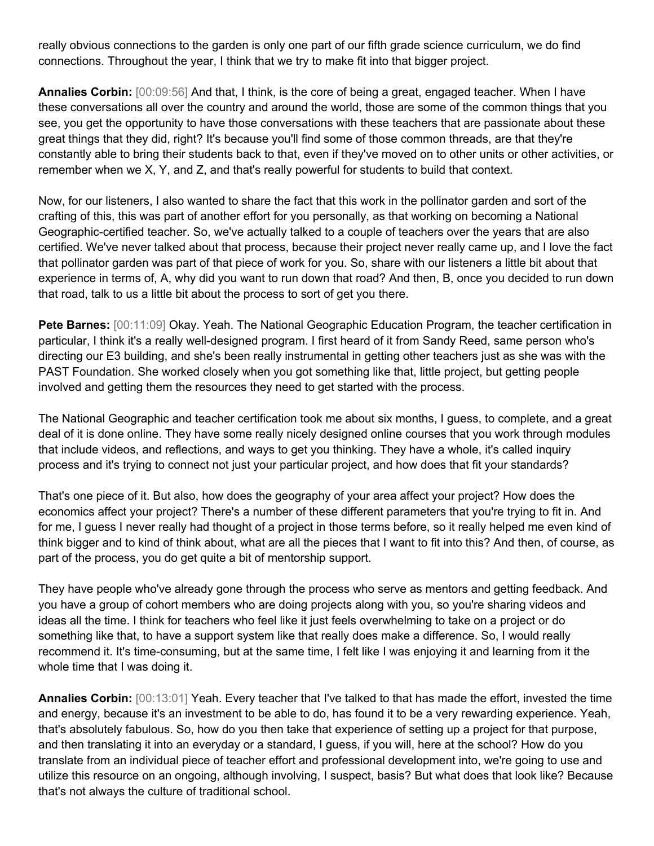really obvious connections to the garden is only one part of our fifth grade science curriculum, we do find connections. Throughout the year, I think that we try to make fit into that bigger project.

**Annalies Corbin:** [00:09:56] And that, I think, is the core of being a great, engaged teacher. When I have these conversations all over the country and around the world, those are some of the common things that you see, you get the opportunity to have those conversations with these teachers that are passionate about these great things that they did, right? It's because you'll find some of those common threads, are that they're constantly able to bring their students back to that, even if they've moved on to other units or other activities, or remember when we X, Y, and Z, and that's really powerful for students to build that context.

Now, for our listeners, I also wanted to share the fact that this work in the pollinator garden and sort of the crafting of this, this was part of another effort for you personally, as that working on becoming a National Geographic-certified teacher. So, we've actually talked to a couple of teachers over the years that are also certified. We've never talked about that process, because their project never really came up, and I love the fact that pollinator garden was part of that piece of work for you. So, share with our listeners a little bit about that experience in terms of, A, why did you want to run down that road? And then, B, once you decided to run down that road, talk to us a little bit about the process to sort of get you there.

**Pete Barnes:** [00:11:09] Okay. Yeah. The National Geographic Education Program, the teacher certification in particular, I think it's a really well-designed program. I first heard of it from Sandy Reed, same person who's directing our E3 building, and she's been really instrumental in getting other teachers just as she was with the PAST Foundation. She worked closely when you got something like that, little project, but getting people involved and getting them the resources they need to get started with the process.

The National Geographic and teacher certification took me about six months, I guess, to complete, and a great deal of it is done online. They have some really nicely designed online courses that you work through modules that include videos, and reflections, and ways to get you thinking. They have a whole, it's called inquiry process and it's trying to connect not just your particular project, and how does that fit your standards?

That's one piece of it. But also, how does the geography of your area affect your project? How does the economics affect your project? There's a number of these different parameters that you're trying to fit in. And for me, I guess I never really had thought of a project in those terms before, so it really helped me even kind of think bigger and to kind of think about, what are all the pieces that I want to fit into this? And then, of course, as part of the process, you do get quite a bit of mentorship support.

They have people who've already gone through the process who serve as mentors and getting feedback. And you have a group of cohort members who are doing projects along with you, so you're sharing videos and ideas all the time. I think for teachers who feel like it just feels overwhelming to take on a project or do something like that, to have a support system like that really does make a difference. So, I would really recommend it. It's time-consuming, but at the same time, I felt like I was enjoying it and learning from it the whole time that I was doing it.

**Annalies Corbin:** [00:13:01] Yeah. Every teacher that I've talked to that has made the effort, invested the time and energy, because it's an investment to be able to do, has found it to be a very rewarding experience. Yeah, that's absolutely fabulous. So, how do you then take that experience of setting up a project for that purpose, and then translating it into an everyday or a standard, I guess, if you will, here at the school? How do you translate from an individual piece of teacher effort and professional development into, we're going to use and utilize this resource on an ongoing, although involving, I suspect, basis? But what does that look like? Because that's not always the culture of traditional school.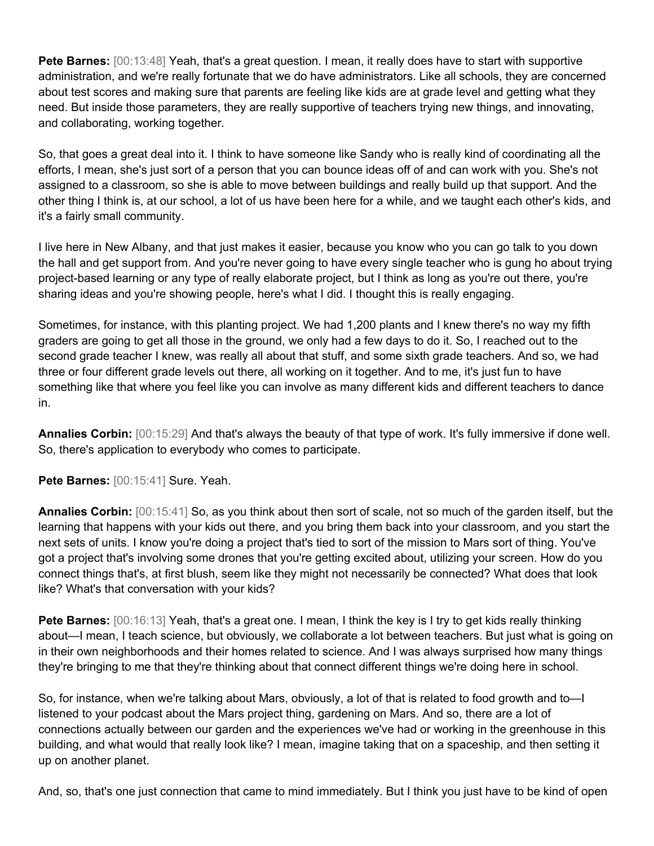**Pete Barnes:** [00:13:48] Yeah, that's a great question. I mean, it really does have to start with supportive administration, and we're really fortunate that we do have administrators. Like all schools, they are concerned about test scores and making sure that parents are feeling like kids are at grade level and getting what they need. But inside those parameters, they are really supportive of teachers trying new things, and innovating, and collaborating, working together.

So, that goes a great deal into it. I think to have someone like Sandy who is really kind of coordinating all the efforts, I mean, she's just sort of a person that you can bounce ideas off of and can work with you. She's not assigned to a classroom, so she is able to move between buildings and really build up that support. And the other thing I think is, at our school, a lot of us have been here for a while, and we taught each other's kids, and it's a fairly small community.

I live here in New Albany, and that just makes it easier, because you know who you can go talk to you down the hall and get support from. And you're never going to have every single teacher who is gung ho about trying project-based learning or any type of really elaborate project, but I think as long as you're out there, you're sharing ideas and you're showing people, here's what I did. I thought this is really engaging.

Sometimes, for instance, with this planting project. We had 1,200 plants and I knew there's no way my fifth graders are going to get all those in the ground, we only had a few days to do it. So, I reached out to the second grade teacher I knew, was really all about that stuff, and some sixth grade teachers. And so, we had three or four different grade levels out there, all working on it together. And to me, it's just fun to have something like that where you feel like you can involve as many different kids and different teachers to dance in.

**Annalies Corbin:** [00:15:29] And that's always the beauty of that type of work. It's fully immersive if done well. So, there's application to everybody who comes to participate.

**Pete Barnes:** [00:15:41] Sure. Yeah.

**Annalies Corbin:** [00:15:41] So, as you think about then sort of scale, not so much of the garden itself, but the learning that happens with your kids out there, and you bring them back into your classroom, and you start the next sets of units. I know you're doing a project that's tied to sort of the mission to Mars sort of thing. You've got a project that's involving some drones that you're getting excited about, utilizing your screen. How do you connect things that's, at first blush, seem like they might not necessarily be connected? What does that look like? What's that conversation with your kids?

**Pete Barnes:** [00:16:13] Yeah, that's a great one. I mean, I think the key is I try to get kids really thinking about—I mean, I teach science, but obviously, we collaborate a lot between teachers. But just what is going on in their own neighborhoods and their homes related to science. And I was always surprised how many things they're bringing to me that they're thinking about that connect different things we're doing here in school.

So, for instance, when we're talking about Mars, obviously, a lot of that is related to food growth and to—I listened to your podcast about the Mars project thing, gardening on Mars. And so, there are a lot of connections actually between our garden and the experiences we've had or working in the greenhouse in this building, and what would that really look like? I mean, imagine taking that on a spaceship, and then setting it up on another planet.

And, so, that's one just connection that came to mind immediately. But I think you just have to be kind of open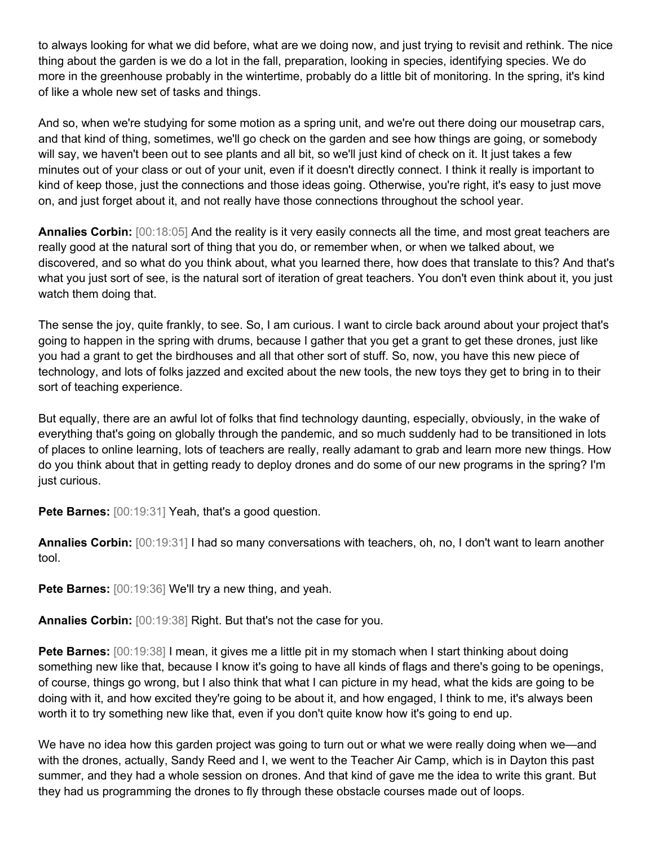to always looking for what we did before, what are we doing now, and just trying to revisit and rethink. The nice thing about the garden is we do a lot in the fall, preparation, looking in species, identifying species. We do more in the greenhouse probably in the wintertime, probably do a little bit of monitoring. In the spring, it's kind of like a whole new set of tasks and things.

And so, when we're studying for some motion as a spring unit, and we're out there doing our mousetrap cars, and that kind of thing, sometimes, we'll go check on the garden and see how things are going, or somebody will say, we haven't been out to see plants and all bit, so we'll just kind of check on it. It just takes a few minutes out of your class or out of your unit, even if it doesn't directly connect. I think it really is important to kind of keep those, just the connections and those ideas going. Otherwise, you're right, it's easy to just move on, and just forget about it, and not really have those connections throughout the school year.

**Annalies Corbin:** [00:18:05] And the reality is it very easily connects all the time, and most great teachers are really good at the natural sort of thing that you do, or remember when, or when we talked about, we discovered, and so what do you think about, what you learned there, how does that translate to this? And that's what you just sort of see, is the natural sort of iteration of great teachers. You don't even think about it, you just watch them doing that.

The sense the joy, quite frankly, to see. So, I am curious. I want to circle back around about your project that's going to happen in the spring with drums, because I gather that you get a grant to get these drones, just like you had a grant to get the birdhouses and all that other sort of stuff. So, now, you have this new piece of technology, and lots of folks jazzed and excited about the new tools, the new toys they get to bring in to their sort of teaching experience.

But equally, there are an awful lot of folks that find technology daunting, especially, obviously, in the wake of everything that's going on globally through the pandemic, and so much suddenly had to be transitioned in lots of places to online learning, lots of teachers are really, really adamant to grab and learn more new things. How do you think about that in getting ready to deploy drones and do some of our new programs in the spring? I'm just curious.

Pete Barnes: [00:19:31] Yeah, that's a good question.

**Annalies Corbin:** [00:19:31] I had so many conversations with teachers, oh, no, I don't want to learn another tool.

**Pete Barnes: [00:19:36] We'll try a new thing, and yeah.** 

**Annalies Corbin:** [00:19:38] Right. But that's not the case for you.

**Pete Barnes:**  $[00:19:38]$  I mean, it gives me a little pit in my stomach when I start thinking about doing something new like that, because I know it's going to have all kinds of flags and there's going to be openings, of course, things go wrong, but I also think that what I can picture in my head, what the kids are going to be doing with it, and how excited they're going to be about it, and how engaged, I think to me, it's always been worth it to try something new like that, even if you don't quite know how it's going to end up.

We have no idea how this garden project was going to turn out or what we were really doing when we—and with the drones, actually, Sandy Reed and I, we went to the Teacher Air Camp, which is in Dayton this past summer, and they had a whole session on drones. And that kind of gave me the idea to write this grant. But they had us programming the drones to fly through these obstacle courses made out of loops.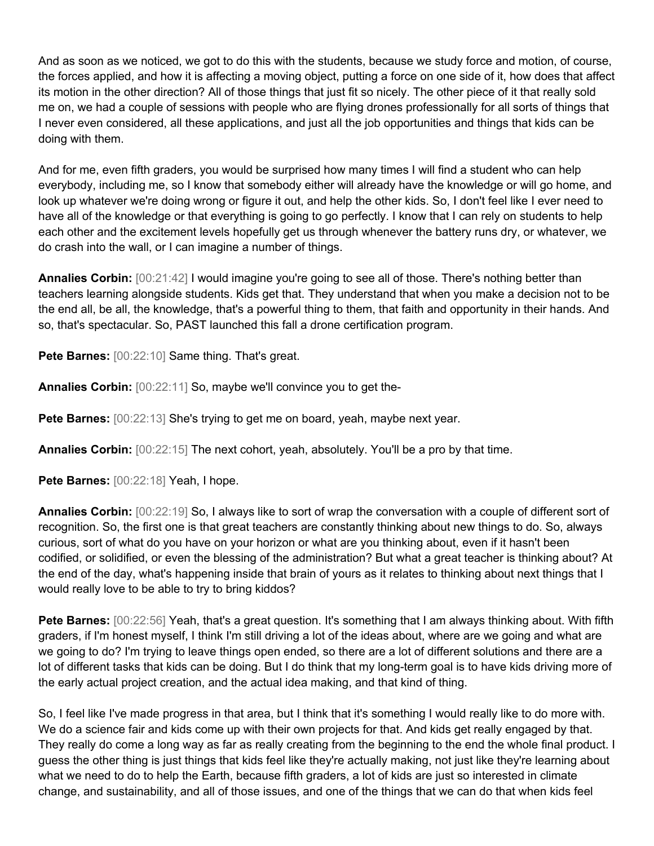And as soon as we noticed, we got to do this with the students, because we study force and motion, of course, the forces applied, and how it is affecting a moving object, putting a force on one side of it, how does that affect its motion in the other direction? All of those things that just fit so nicely. The other piece of it that really sold me on, we had a couple of sessions with people who are flying drones professionally for all sorts of things that I never even considered, all these applications, and just all the job opportunities and things that kids can be doing with them.

And for me, even fifth graders, you would be surprised how many times I will find a student who can help everybody, including me, so I know that somebody either will already have the knowledge or will go home, and look up whatever we're doing wrong or figure it out, and help the other kids. So, I don't feel like I ever need to have all of the knowledge or that everything is going to go perfectly. I know that I can rely on students to help each other and the excitement levels hopefully get us through whenever the battery runs dry, or whatever, we do crash into the wall, or I can imagine a number of things.

**Annalies Corbin:**  $[00:21:42]$  I would imagine you're going to see all of those. There's nothing better than teachers learning alongside students. Kids get that. They understand that when you make a decision not to be the end all, be all, the knowledge, that's a powerful thing to them, that faith and opportunity in their hands. And so, that's spectacular. So, PAST launched this fall a drone certification program.

Pete Barnes: [00:22:10] Same thing. That's great.

**Annalies Corbin:** [00:22:11] So, maybe we'll convince you to get the-

**Pete Barnes:**  $[00:22:13]$  She's trying to get me on board, yeah, maybe next year.

**Annalies Corbin:** [00:22:15] The next cohort, yeah, absolutely. You'll be a pro by that time.

**Pete Barnes:** [00:22:18] Yeah, I hope.

**Annalies Corbin:** [00:22:19] So, I always like to sort of wrap the conversation with a couple of different sort of recognition. So, the first one is that great teachers are constantly thinking about new things to do. So, always curious, sort of what do you have on your horizon or what are you thinking about, even if it hasn't been codified, or solidified, or even the blessing of the administration? But what a great teacher is thinking about? At the end of the day, what's happening inside that brain of yours as it relates to thinking about next things that I would really love to be able to try to bring kiddos?

**Pete Barnes:** [00:22:56] Yeah, that's a great question. It's something that I am always thinking about. With fifth graders, if I'm honest myself, I think I'm still driving a lot of the ideas about, where are we going and what are we going to do? I'm trying to leave things open ended, so there are a lot of different solutions and there are a lot of different tasks that kids can be doing. But I do think that my long-term goal is to have kids driving more of the early actual project creation, and the actual idea making, and that kind of thing.

So, I feel like I've made progress in that area, but I think that it's something I would really like to do more with. We do a science fair and kids come up with their own projects for that. And kids get really engaged by that. They really do come a long way as far as really creating from the beginning to the end the whole final product. I guess the other thing is just things that kids feel like they're actually making, not just like they're learning about what we need to do to help the Earth, because fifth graders, a lot of kids are just so interested in climate change, and sustainability, and all of those issues, and one of the things that we can do that when kids feel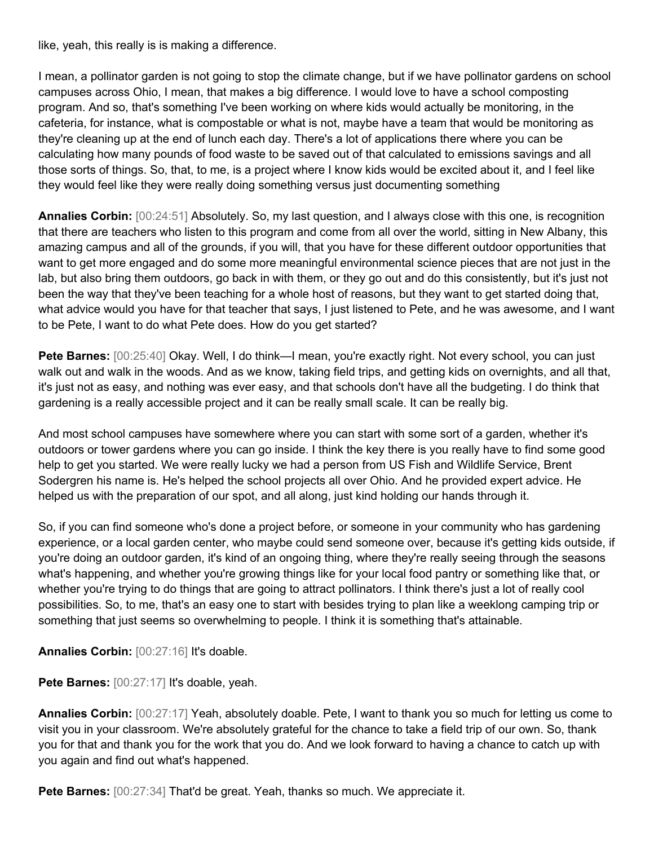like, yeah, this really is is making a difference.

I mean, a pollinator garden is not going to stop the climate change, but if we have pollinator gardens on school campuses across Ohio, I mean, that makes a big difference. I would love to have a school composting program. And so, that's something I've been working on where kids would actually be monitoring, in the cafeteria, for instance, what is compostable or what is not, maybe have a team that would be monitoring as they're cleaning up at the end of lunch each day. There's a lot of applications there where you can be calculating how many pounds of food waste to be saved out of that calculated to emissions savings and all those sorts of things. So, that, to me, is a project where I know kids would be excited about it, and I feel like they would feel like they were really doing something versus just documenting something

**Annalies Corbin:** [00:24:51] Absolutely. So, my last question, and I always close with this one, is recognition that there are teachers who listen to this program and come from all over the world, sitting in New Albany, this amazing campus and all of the grounds, if you will, that you have for these different outdoor opportunities that want to get more engaged and do some more meaningful environmental science pieces that are not just in the lab, but also bring them outdoors, go back in with them, or they go out and do this consistently, but it's just not been the way that they've been teaching for a whole host of reasons, but they want to get started doing that, what advice would you have for that teacher that says, I just listened to Pete, and he was awesome, and I want to be Pete, I want to do what Pete does. How do you get started?

**Pete Barnes:** [00:25:40] Okay. Well, I do think—I mean, you're exactly right. Not every school, you can just walk out and walk in the woods. And as we know, taking field trips, and getting kids on overnights, and all that, it's just not as easy, and nothing was ever easy, and that schools don't have all the budgeting. I do think that gardening is a really accessible project and it can be really small scale. It can be really big.

And most school campuses have somewhere where you can start with some sort of a garden, whether it's outdoors or tower gardens where you can go inside. I think the key there is you really have to find some good help to get you started. We were really lucky we had a person from US Fish and Wildlife Service, Brent Sodergren his name is. He's helped the school projects all over Ohio. And he provided expert advice. He helped us with the preparation of our spot, and all along, just kind holding our hands through it.

So, if you can find someone who's done a project before, or someone in your community who has gardening experience, or a local garden center, who maybe could send someone over, because it's getting kids outside, if you're doing an outdoor garden, it's kind of an ongoing thing, where they're really seeing through the seasons what's happening, and whether you're growing things like for your local food pantry or something like that, or whether you're trying to do things that are going to attract pollinators. I think there's just a lot of really cool possibilities. So, to me, that's an easy one to start with besides trying to plan like a weeklong camping trip or something that just seems so overwhelming to people. I think it is something that's attainable.

**Annalies Corbin:** [00:27:16] It's doable.

**Pete Barnes:** [00:27:17] It's doable, yeah.

**Annalies Corbin:** [00:27:17] Yeah, absolutely doable. Pete, I want to thank you so much for letting us come to visit you in your classroom. We're absolutely grateful for the chance to take a field trip of our own. So, thank you for that and thank you for the work that you do. And we look forward to having a chance to catch up with you again and find out what's happened.

**Pete Barnes:** [00:27:34] That'd be great. Yeah, thanks so much. We appreciate it.